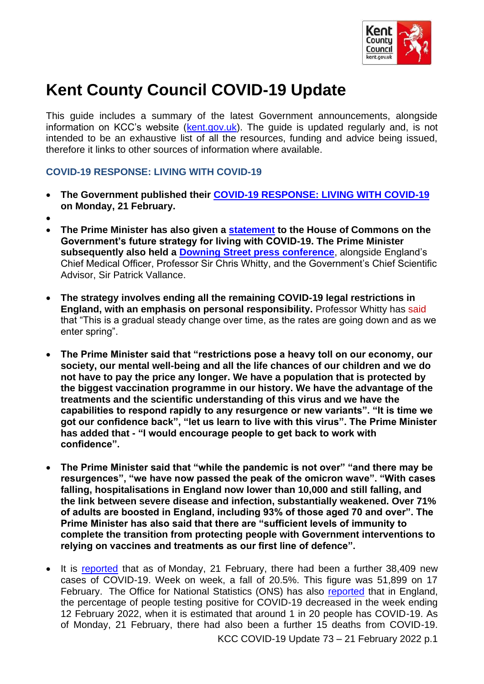

# **Kent County Council COVID-19 Update**

This guide includes a summary of the latest Government announcements, alongside information on KCC's website ([kent.gov.uk\)](http://www.kent.gov.uk/). The guide is updated regularly and, is not intended to be an exhaustive list of all the resources, funding and advice being issued, therefore it links to other sources of information where available.

#### **COVID-19 RESPONSE: LIVING WITH COVID-19**

- **The Government published their [COVID-19 RESPONSE: LIVING WITH COVID-19](https://assets.publishing.service.gov.uk/government/uploads/system/uploads/attachment_data/file/1056202/COVID-19_Response_-_Living_with_COVID-19__1_.pdf) on Monday, 21 February.**
- •
- **The Prime Minister has also given a [statement](https://www.gov.uk/government/speeches/pm-statement-on-living-with-covid-21-february-2022) to the House of Commons on the Government's future strategy for living with COVID-19. The Prime Minister subsequently also held a [Downing Street press conference](https://www.gov.uk/government/speeches/pm-statement-at-covid-press-conference-21-february-2022)**, alongside England's Chief Medical Officer, Professor Sir Chris Whitty, and the Government's Chief Scientific Advisor, Sir Patrick Vallance.
- **The strategy involves ending all the remaining COVID-19 legal restrictions in England, with an emphasis on personal responsibility.** Professor Whitty has said that "This is a gradual steady change over time, as the rates are going down and as we enter spring".
- **The Prime Minister said that "restrictions pose a heavy toll on our economy, our society, our mental well-being and all the life chances of our children and we do not have to pay the price any longer. We have a population that is protected by the biggest vaccination programme in our history. We have the advantage of the treatments and the scientific understanding of this virus and we have the capabilities to respond rapidly to any resurgence or new variants". "It is time we got our confidence back", "let us learn to live with this virus". The Prime Minister has added that - "I would encourage people to get back to work with confidence".**
- **The Prime Minister said that "while the pandemic is not over" "and there may be resurgences", "we have now passed the peak of the omicron wave". "With cases falling, hospitalisations in England now lower than 10,000 and still falling, and the link between severe disease and infection, substantially weakened. Over 71% of adults are boosted in England, including 93% of those aged 70 and over". The Prime Minister has also said that there are "sufficient levels of immunity to complete the transition from protecting people with Government interventions to relying on vaccines and treatments as our first line of defence".**
- KCC COVID-19 Update 73 21 February 2022 p.1 • It is [reported](https://coronavirus.data.gov.uk/) that as of Monday, 21 February, there had been a further 38,409 new cases of COVID-19. Week on week, a fall of 20.5%. This figure was 51,899 on 17 February. The Office for National Statistics (ONS) has also [reported](https://www.ons.gov.uk/peoplepopulationandcommunity/healthandsocialcare/conditionsanddiseases/bulletins/coronaviruscovid19infectionsurveypilot/18february2022) that in England, the percentage of people testing positive for COVID-19 decreased in the week ending 12 February 2022, when it is estimated that around 1 in 20 people has COVID-19. As of Monday, 21 February, there had also been a further 15 deaths from COVID-19.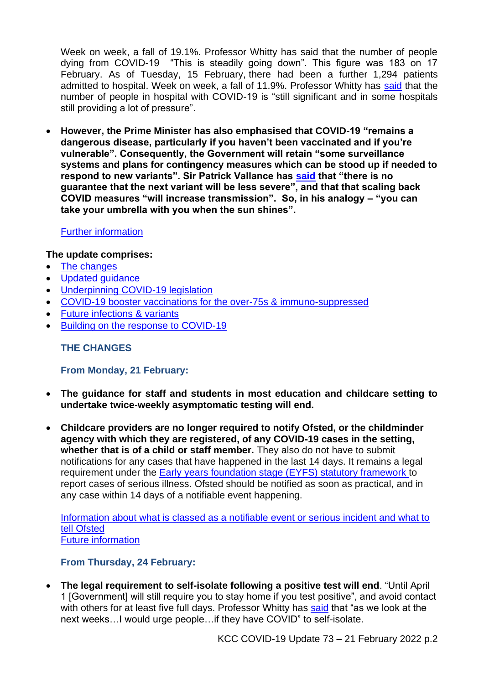Week on week, a fall of 19.1%. Professor Whitty has said that the number of people dying from COVID-19 "This is steadily going down". This figure was 183 on 17 February. As of Tuesday, 15 February, there had been a further 1,294 patients admitted to hospital. Week on week, a fall of 11.9%. Professor Whitty has [said](https://www.youtube.com/watch?v=77p5n1ESb6c) that the number of people in hospital with COVID-19 is "still significant and in some hospitals still providing a lot of pressure".

• **However, the Prime Minister has also emphasised that COVID-19 "remains a dangerous disease, particularly if you haven't been vaccinated and if you're vulnerable". Consequently, the Government will retain "some surveillance systems and plans for contingency measures which can be stood up if needed to respond to new variants". Sir Patrick Vallance has [said](https://www.youtube.com/watch?v=77p5n1ESb6c) that "there is no guarantee that the next variant will be less severe", and that that scaling back COVID measures "will increase transmission". So, in his analogy – "you can take your umbrella with you when the sun shines".** 

# [Further information](https://www.gov.uk/government/news/prime-minister-sets-out-plan-for-living-with-covid)

## <span id="page-1-1"></span>**The update comprises:**

- [The changes](#page-1-0)
- [Updated guidance](#page-2-0)
- [Underpinning COVID-19 legislation](#page-3-0)
- [COVID-19 booster vaccinations for the over-75s & immuno-suppressed](#page-4-0)
- [Future infections & variants](#page-4-1)
- [Building on the response to COVID-19](#page-5-0)

## <span id="page-1-0"></span>**THE CHANGES**

## **From Monday, 21 February:**

- **The guidance for staff and students in most education and childcare setting to undertake twice-weekly asymptomatic testing will end.**
- **Childcare providers are no longer required to notify Ofsted, or the childminder agency with which they are registered, of any COVID-19 cases in the setting, whether that is of a child or staff member.** They also do not have to submit notifications for any cases that have happened in the last 14 days. It remains a legal requirement under the [Early years foundation stage \(EYFS\) statutory framework](https://www.gov.uk/government/publications/early-years-foundation-stage-framework--2) to report cases of serious illness. Ofsted should be notified as soon as practical, and in any case within 14 days of a notifiable event happening.

[Information about what is classed as a notifiable event or serious incident and what to](https://www.gov.uk/guidance/report-a-serious-childcare-incident)  [tell Ofsted](https://www.gov.uk/guidance/report-a-serious-childcare-incident) [Future information](https://www.gov.uk/government/news/childcare-providers-no-longer-required-to-tell-ofsted-about-confirmed-covid-19-cases)

## **From Thursday, 24 February:**

• **The legal requirement to self-isolate following a positive test will end**. "Until April 1 [Government] will still require you to stay home if you test positive", and avoid contact with others for at least five full days. Professor Whitty has [said](https://www.youtube.com/watch?v=77p5n1ESb6c) that "as we look at the next weeks…I would urge people…if they have COVID" to self-isolate.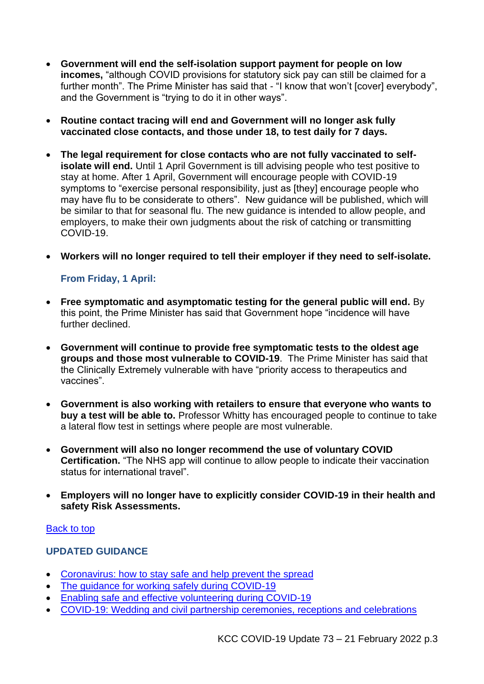- **Government will end the self-isolation support payment for people on low incomes,** "although COVID provisions for statutory sick pay can still be claimed for a further month". The Prime Minister has said that - "I know that won't [cover] everybody", and the Government is "trying to do it in other ways".
- **Routine contact tracing will end and Government will no longer ask fully vaccinated close contacts, and those under 18, to test daily for 7 days.**
- **The legal requirement for close contacts who are not fully vaccinated to selfisolate will end.** Until 1 April Government is till advising people who test positive to stay at home. After 1 April, Government will encourage people with COVID-19 symptoms to "exercise personal responsibility, just as [they] encourage people who may have flu to be considerate to others". New guidance will be published, which will be similar to that for seasonal flu. The new guidance is intended to allow people, and employers, to make their own judgments about the risk of catching or transmitting COVID-19.
- **Workers will no longer required to tell their employer if they need to self-isolate.**

## **From Friday, 1 April:**

- **Free symptomatic and asymptomatic testing for the general public will end.** By this point, the Prime Minister has said that Government hope "incidence will have further declined.
- **Government will continue to provide free symptomatic tests to the oldest age groups and those most vulnerable to COVID-19**. The Prime Minister has said that the Clinically Extremely vulnerable with have "priority access to therapeutics and vaccines".
- **Government is also working with retailers to ensure that everyone who wants to buy a test will be able to.** Professor Whitty has encouraged people to continue to take a lateral flow test in settings where people are most vulnerable.
- **Government will also no longer recommend the use of voluntary COVID Certification.** "The NHS app will continue to allow people to indicate their vaccination status for international travel".
- **Employers will no longer have to explicitly consider COVID-19 in their health and safety Risk Assessments.**

#### [Back to top](#page-1-1)

#### <span id="page-2-0"></span>**UPDATED GUIDANCE**

- [Coronavirus: how to stay safe and help prevent the spread](https://www.gov.uk/guidance/covid-19-coronavirus-restrictions-what-you-can-and-cannot-do)
- The quidance for working safely during COVID-19
- [Enabling safe and effective volunteering during COVID-19](https://www.gov.uk/guidance/enabling-safe-and-effective-volunteering-during-coronavirus-covid-19)
- [COVID-19: Wedding and civil partnership ceremonies, receptions and celebrations](https://www.gov.uk/guidance/coronavirus-covid-19-wedding-and-civil-partnership-ceremonies-receptions-and-celebrations)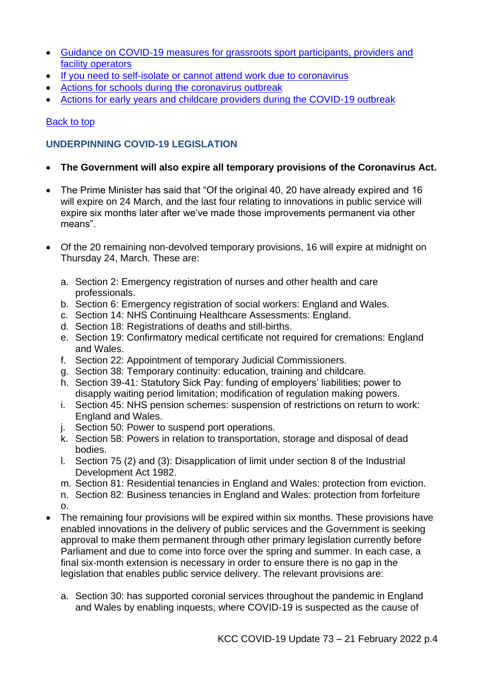- [Guidance on COVID-19 measures for grassroots sport participants, providers and](https://www.gov.uk/government/publications/guidance-on-coronavirus-covid-19-measures-for-grassroots-sport-participants-providers-and-facility-operators)  [facility operators](https://www.gov.uk/government/publications/guidance-on-coronavirus-covid-19-measures-for-grassroots-sport-participants-providers-and-facility-operators)
- [If you need to self-isolate or cannot attend work due to coronavirus](https://www.gov.uk/guidance/if-you-need-to-self-isolate-or-cannot-attend-work-due-to-coronavirus)
- [Actions for schools during the coronavirus outbreak](https://www.gov.uk/government/publications/actions-for-schools-during-the-coronavirus-outbreak)
- [Actions for early years and childcare providers during the COVID-19 outbreak](https://www.gov.uk/government/publications/coronavirus-covid-19-early-years-and-childcare-closures)

# [Back to top](#page-1-1)

# <span id="page-3-0"></span>**UNDERPINNING COVID-19 LEGISLATION**

# • **The Government will also expire all temporary provisions of the Coronavirus Act.**

- The Prime Minister has said that "Of the original 40, 20 have already expired and 16 will expire on 24 March, and the last four relating to innovations in public service will expire six months later after we've made those improvements permanent via other means".
- Of the 20 remaining non-devolved temporary provisions, 16 will expire at midnight on Thursday 24, March. These are:
	- a. Section 2: Emergency registration of nurses and other health and care professionals.
	- b. Section 6: Emergency registration of social workers: England and Wales.
	- c. Section 14: NHS Continuing Healthcare Assessments: England.
	- d. Section 18: Registrations of deaths and still-births.
	- e. Section 19: Confirmatory medical certificate not required for cremations: England and Wales.
	- f. Section 22: Appointment of temporary Judicial Commissioners.
	- g. Section 38: Temporary continuity: education, training and childcare.
	- h. Section 39-41: Statutory Sick Pay: funding of employers' liabilities; power to disapply waiting period limitation; modification of regulation making powers.
	- i. Section 45: NHS pension schemes: suspension of restrictions on return to work: England and Wales.
	- j. Section 50: Power to suspend port operations.
	- k. Section 58: Powers in relation to transportation, storage and disposal of dead bodies.
	- l. Section 75 (2) and (3): Disapplication of limit under section 8 of the Industrial Development Act 1982.
	- m. Section 81: Residential tenancies in England and Wales: protection from eviction.
	- n. Section 82: Business tenancies in England and Wales: protection from forfeiture o.
- The remaining four provisions will be expired within six months. These provisions have enabled innovations in the delivery of public services and the Government is seeking approval to make them permanent through other primary legislation currently before Parliament and due to come into force over the spring and summer. In each case, a final six-month extension is necessary in order to ensure there is no gap in the legislation that enables public service delivery. The relevant provisions are:
	- a. Section 30: has supported coronial services throughout the pandemic in England and Wales by enabling inquests, where COVID-19 is suspected as the cause of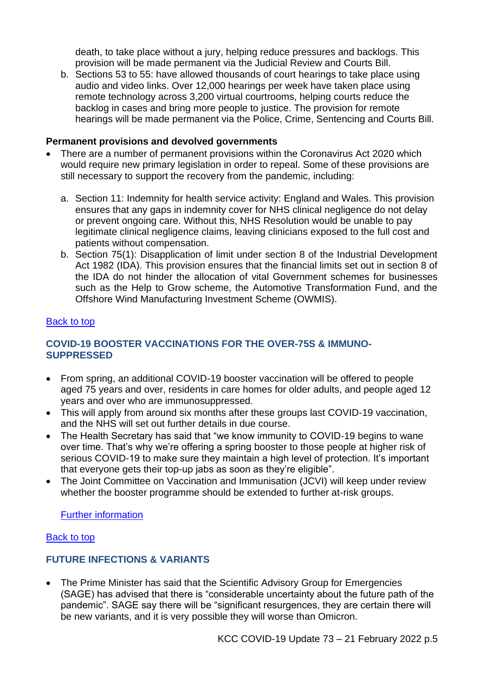death, to take place without a jury, helping reduce pressures and backlogs. This provision will be made permanent via the Judicial Review and Courts Bill.

b. Sections 53 to 55: have allowed thousands of court hearings to take place using audio and video links. Over 12,000 hearings per week have taken place using remote technology across 3,200 virtual courtrooms, helping courts reduce the backlog in cases and bring more people to justice. The provision for remote hearings will be made permanent via the Police, Crime, Sentencing and Courts Bill.

#### **Permanent provisions and devolved governments**

- There are a number of permanent provisions within the Coronavirus Act 2020 which would require new primary legislation in order to repeal. Some of these provisions are still necessary to support the recovery from the pandemic, including:
	- a. Section 11: Indemnity for health service activity: England and Wales. This provision ensures that any gaps in indemnity cover for NHS clinical negligence do not delay or prevent ongoing care. Without this, NHS Resolution would be unable to pay legitimate clinical negligence claims, leaving clinicians exposed to the full cost and patients without compensation.
	- b. Section 75(1): Disapplication of limit under section 8 of the Industrial Development Act 1982 (IDA). This provision ensures that the financial limits set out in section 8 of the IDA do not hinder the allocation of vital Government schemes for businesses such as the Help to Grow scheme, the Automotive Transformation Fund, and the Offshore Wind Manufacturing Investment Scheme (OWMIS).

#### <span id="page-4-0"></span>**[Back to top](#page-1-1)**

# **COVID-19 BOOSTER VACCINATIONS FOR THE OVER-75S & IMMUNO-SUPPRESSED**

- From spring, an additional COVID-19 booster vaccination will be offered to people aged 75 years and over, residents in care homes for older adults, and people aged 12 years and over who are immunosuppressed.
- This will apply from around six months after these groups last COVID-19 vaccination, and the NHS will set out further details in due course.
- The Health Secretary has said that "we know immunity to COVID-19 begins to wane over time. That's why we're offering a spring booster to those people at higher risk of serious COVID-19 to make sure they maintain a high level of protection. It's important that everyone gets their top-up jabs as soon as they're eligible".
- The Joint Committee on Vaccination and Immunisation (JCVI) will keep under review whether the booster programme should be extended to further at-risk groups.

[Further information](https://www.gov.uk/government/news/jcvi-advises-a-spring-covid-19-vaccine-dose-for-the-most-vulnerable)

## [Back to top](#page-1-1)

# <span id="page-4-1"></span>**FUTURE INFECTIONS & VARIANTS**

• The Prime Minister has said that the Scientific Advisory Group for Emergencies (SAGE) has advised that there is "considerable uncertainty about the future path of the pandemic". SAGE say there will be "significant resurgences, they are certain there will be new variants, and it is very possible they will worse than Omicron.